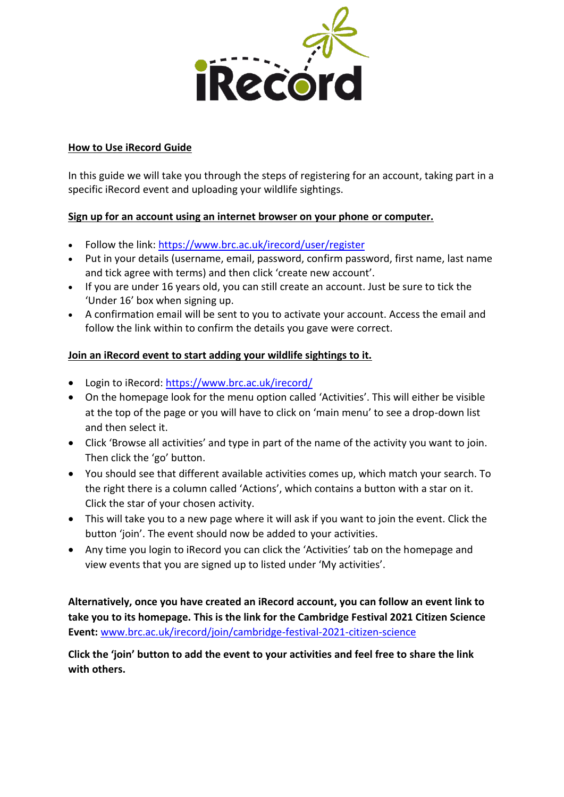

### **How to Use iRecord Guide**

In this guide we will take you through the steps of registering for an account, taking part in a specific iRecord event and uploading your wildlife sightings.

#### **Sign up for an account using an internet browser on your phone or computer.**

- Follow the link:<https://www.brc.ac.uk/irecord/user/register>
- Put in your details (username, email, password, confirm password, first name, last name and tick agree with terms) and then click 'create new account'.
- If you are under 16 years old, you can still create an account. Just be sure to tick the 'Under 16' box when signing up.
- A confirmation email will be sent to you to activate your account. Access the email and follow the link within to confirm the details you gave were correct.

#### **Join an iRecord event to start adding your wildlife sightings to it.**

- Login to iRecord:<https://www.brc.ac.uk/irecord/>
- On the homepage look for the menu option called 'Activities'. This will either be visible at the top of the page or you will have to click on 'main menu' to see a drop-down list and then select it.
- Click 'Browse all activities' and type in part of the name of the activity you want to join. Then click the 'go' button.
- You should see that different available activities comes up, which match your search. To the right there is a column called 'Actions', which contains a button with a star on it. Click the star of your chosen activity.
- This will take you to a new page where it will ask if you want to join the event. Click the button 'join'. The event should now be added to your activities.
- Any time you login to iRecord you can click the 'Activities' tab on the homepage and view events that you are signed up to listed under 'My activities'.

**Alternatively, once you have created an iRecord account, you can follow an event link to take you to its homepage. This is the link for the Cambridge Festival 2021 Citizen Science Event:** [www.brc.ac.uk/irecord/join/cambridge-festival-2021-citizen-science](http://www.brc.ac.uk/irecord/join/cambridge-festival-2021-citizen-science)

**Click the 'join' button to add the event to your activities and feel free to share the link with others.**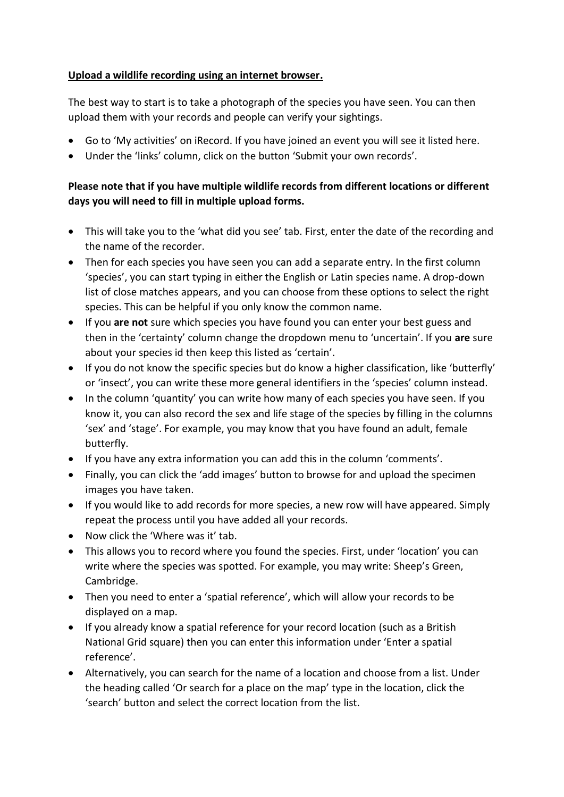## **Upload a wildlife recording using an internet browser.**

The best way to start is to take a photograph of the species you have seen. You can then upload them with your records and people can verify your sightings.

- Go to 'My activities' on iRecord. If you have joined an event you will see it listed here.
- Under the 'links' column, click on the button 'Submit your own records'.

# **Please note that if you have multiple wildlife records from different locations or different days you will need to fill in multiple upload forms.**

- This will take you to the 'what did you see' tab. First, enter the date of the recording and the name of the recorder.
- Then for each species you have seen you can add a separate entry. In the first column 'species', you can start typing in either the English or Latin species name. A drop-down list of close matches appears, and you can choose from these options to select the right species. This can be helpful if you only know the common name.
- If you **are not** sure which species you have found you can enter your best guess and then in the 'certainty' column change the dropdown menu to 'uncertain'. If you **are** sure about your species id then keep this listed as 'certain'.
- If you do not know the specific species but do know a higher classification, like 'butterfly' or 'insect', you can write these more general identifiers in the 'species' column instead.
- In the column 'quantity' you can write how many of each species you have seen. If you know it, you can also record the sex and life stage of the species by filling in the columns 'sex' and 'stage'. For example, you may know that you have found an adult, female butterfly.
- If you have any extra information you can add this in the column 'comments'.
- Finally, you can click the 'add images' button to browse for and upload the specimen images you have taken.
- If you would like to add records for more species, a new row will have appeared. Simply repeat the process until you have added all your records.
- Now click the 'Where was it' tab.
- This allows you to record where you found the species. First, under 'location' you can write where the species was spotted. For example, you may write: Sheep's Green, Cambridge.
- Then you need to enter a 'spatial reference', which will allow your records to be displayed on a map.
- If you already know a spatial reference for your record location (such as a British National Grid square) then you can enter this information under 'Enter a spatial reference'.
- Alternatively, you can search for the name of a location and choose from a list. Under the heading called 'Or search for a place on the map' type in the location, click the 'search' button and select the correct location from the list.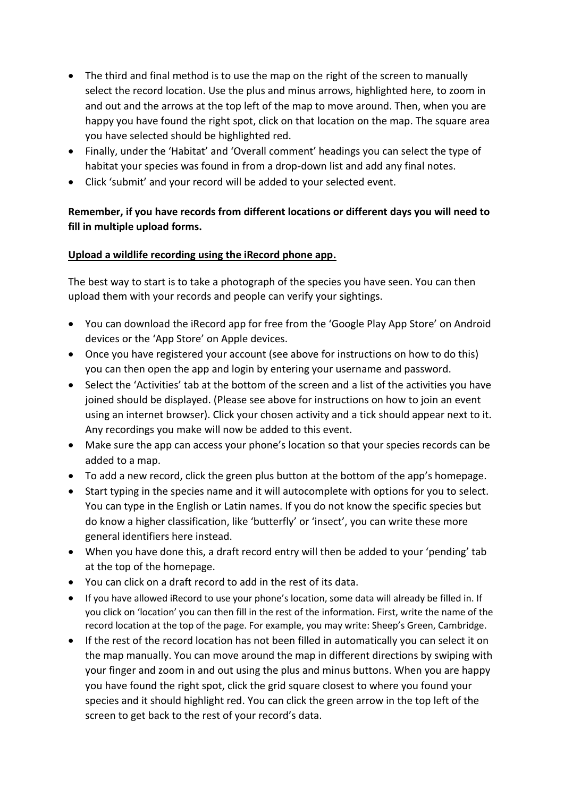- The third and final method is to use the map on the right of the screen to manually select the record location. Use the plus and minus arrows, highlighted here, to zoom in and out and the arrows at the top left of the map to move around. Then, when you are happy you have found the right spot, click on that location on the map. The square area you have selected should be highlighted red.
- Finally, under the 'Habitat' and 'Overall comment' headings you can select the type of habitat your species was found in from a drop-down list and add any final notes.
- Click 'submit' and your record will be added to your selected event.

# **Remember, if you have records from different locations or different days you will need to fill in multiple upload forms.**

## **Upload a wildlife recording using the iRecord phone app.**

The best way to start is to take a photograph of the species you have seen. You can then upload them with your records and people can verify your sightings.

- You can download the iRecord app for free from the 'Google Play App Store' on Android devices or the 'App Store' on Apple devices.
- Once you have registered your account (see above for instructions on how to do this) you can then open the app and login by entering your username and password.
- Select the 'Activities' tab at the bottom of the screen and a list of the activities you have joined should be displayed. (Please see above for instructions on how to join an event using an internet browser). Click your chosen activity and a tick should appear next to it. Any recordings you make will now be added to this event.
- Make sure the app can access your phone's location so that your species records can be added to a map.
- To add a new record, click the green plus button at the bottom of the app's homepage.
- Start typing in the species name and it will autocomplete with options for you to select. You can type in the English or Latin names. If you do not know the specific species but do know a higher classification, like 'butterfly' or 'insect', you can write these more general identifiers here instead.
- When you have done this, a draft record entry will then be added to your 'pending' tab at the top of the homepage.
- You can click on a draft record to add in the rest of its data.
- If you have allowed iRecord to use your phone's location, some data will already be filled in. If you click on 'location' you can then fill in the rest of the information. First, write the name of the record location at the top of the page. For example, you may write: Sheep's Green, Cambridge.
- If the rest of the record location has not been filled in automatically you can select it on the map manually. You can move around the map in different directions by swiping with your finger and zoom in and out using the plus and minus buttons. When you are happy you have found the right spot, click the grid square closest to where you found your species and it should highlight red. You can click the green arrow in the top left of the screen to get back to the rest of your record's data.